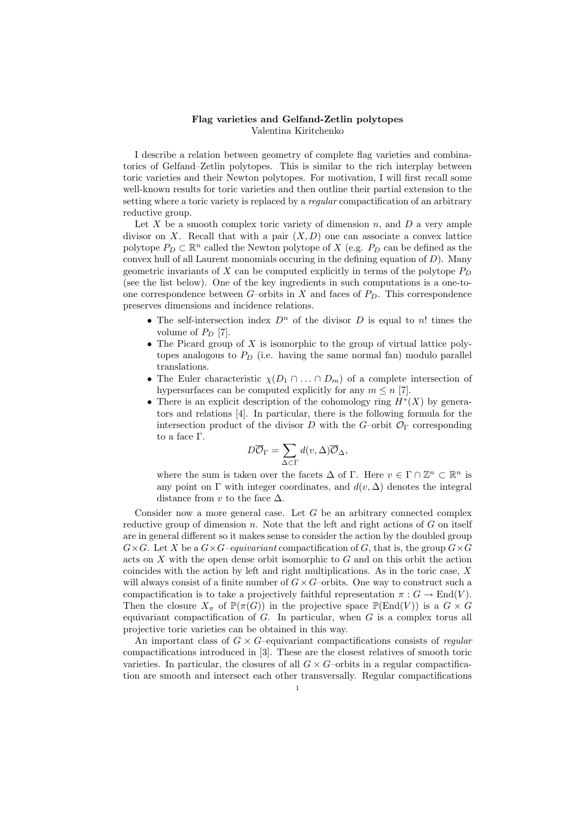## Flag varieties and Gelfand-Zetlin polytopes Valentina Kiritchenko

I describe a relation between geometry of complete flag varieties and combinatorics of Gelfand–Zetlin polytopes. This is similar to the rich interplay between toric varieties and their Newton polytopes. For motivation, I will first recall some well-known results for toric varieties and then outline their partial extension to the setting where a toric variety is replaced by a *regular* compactification of an arbitrary reductive group.

Let  $X$  be a smooth complex toric variety of dimension  $n$ , and  $D$  a very ample divisor on X. Recall that with a pair  $(X, D)$  one can associate a convex lattice polytope  $P_D \subset \mathbb{R}^n$  called the Newton polytope of X (e.g.  $P_D$  can be defined as the convex hull of all Laurent monomials occuring in the defining equation of  $D$ ). Many geometric invariants of  $X$  can be computed explicitly in terms of the polytope  $P_D$ (see the list below). One of the key ingredients in such computations is a one-toone correspondence between  $G$ –orbits in X and faces of  $P_D$ . This correspondence preserves dimensions and incidence relations.

- The self-intersection index  $D^n$  of the divisor D is equal to n! times the volume of  $P_D$  [7].
- The Picard group of  $X$  is isomorphic to the group of virtual lattice polytopes analogous to  $P_D$  (i.e. having the same normal fan) modulo parallel translations.
- The Euler characteristic  $\chi(D_1 \cap ... \cap D_m)$  of a complete intersection of hypersurfaces can be computed explicitly for any  $m \leq n$  [7].
- There is an explicit description of the cohomology ring  $H^*(X)$  by generators and relations [4]. In particular, there is the following formula for the intersection product of the divisor D with the G–orbit  $\mathcal{O}_{\Gamma}$  corresponding to a face Γ.

$$
D\overline{\mathcal{O}}_{\Gamma} = \sum_{\Delta \subset \Gamma} d(v, \Delta) \overline{\mathcal{O}}_{\Delta},
$$

where the sum is taken over the facets  $\Delta$  of  $\Gamma$ . Here  $v \in \Gamma \cap \mathbb{Z}^n \subset \mathbb{R}^n$  is any point on  $\Gamma$  with integer coordinates, and  $d(v, \Delta)$  denotes the integral distance from v to the face  $\Delta$ .

Consider now a more general case. Let  $G$  be an arbitrary connected complex reductive group of dimension  $n$ . Note that the left and right actions of  $G$  on itself are in general different so it makes sense to consider the action by the doubled group  $G\times G$ . Let X be a  $G\times G$ –equivariant compactification of G, that is, the group  $G\times G$ acts on  $X$  with the open dense orbit isomorphic to  $G$  and on this orbit the action coincides with the action by left and right multiplications. As in the toric case, X will always consist of a finite number of  $G \times G$ –orbits. One way to construct such a compactification is to take a projectively faithful representation  $\pi : G \to \text{End}(V)$ . Then the closure  $X_{\pi}$  of  $\mathbb{P}(\pi(G))$  in the projective space  $\mathbb{P}(\text{End}(V))$  is a  $G \times G$ equivariant compactification of  $G$ . In particular, when  $G$  is a complex torus all projective toric varieties can be obtained in this way.

An important class of  $G \times G$ -equivariant compactifications consists of *regular* compactifications introduced in [3]. These are the closest relatives of smooth toric varieties. In particular, the closures of all  $G \times G$ -orbits in a regular compactification are smooth and intersect each other transversally. Regular compactifications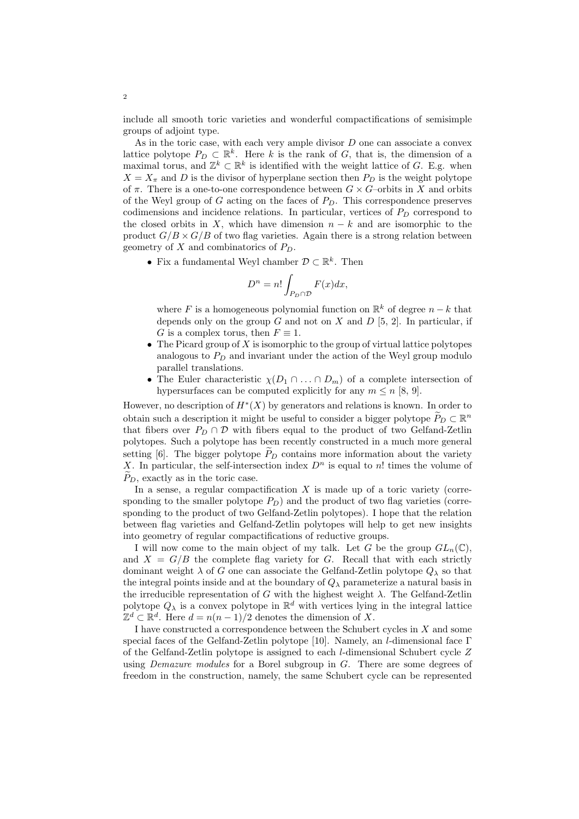include all smooth toric varieties and wonderful compactifications of semisimple groups of adjoint type.

As in the toric case, with each very ample divisor  $D$  one can associate a convex lattice polytope  $P_D \subset \mathbb{R}^k$ . Here k is the rank of G, that is, the dimension of a maximal torus, and  $\mathbb{Z}^k \subset \mathbb{R}^k$  is identified with the weight lattice of G. E.g. when  $X = X_{\pi}$  and D is the divisor of hyperplane section then  $P_D$  is the weight polytope of  $\pi$ . There is a one-to-one correspondence between  $G \times G$ -orbits in X and orbits of the Weyl group of G acting on the faces of  $P<sub>D</sub>$ . This correspondence preserves codimensions and incidence relations. In particular, vertices of  $P<sub>D</sub>$  correspond to the closed orbits in X, which have dimension  $n - k$  and are isomorphic to the product  $G/B \times G/B$  of two flag varieties. Again there is a strong relation between geometry of  $X$  and combinatorics of  $P_D$ .

• Fix a fundamental Weyl chamber  $\mathcal{D} \subset \mathbb{R}^k$ . Then

$$
D^n = n! \int_{P_D \cap \mathcal{D}} F(x) dx,
$$

where F is a homogeneous polynomial function on  $\mathbb{R}^k$  of degree  $n-k$  that depends only on the group  $G$  and not on  $X$  and  $D$  [5, 2]. In particular, if G is a complex torus, then  $F \equiv 1$ .

- The Picard group of  $X$  is isomorphic to the group of virtual lattice polytopes analogous to  $P_D$  and invariant under the action of the Weyl group modulo parallel translations.
- The Euler characteristic  $\chi(D_1 \cap ... \cap D_m)$  of a complete intersection of hypersurfaces can be computed explicitly for any  $m \leq n$  [8, 9].

However, no description of  $H^*(X)$  by generators and relations is known. In order to obtain such a description it might be useful to consider a bigger polytope  $\widetilde{P}_D \subset \mathbb{R}^n$ that fibers over  $P_D \cap D$  with fibers equal to the product of two Gelfand-Zetlin polytopes. Such a polytope has been recently constructed in a much more general setting [6]. The bigger polytope  $P<sub>D</sub>$  contains more information about the variety X. In particular, the self-intersection index  $D<sup>n</sup>$  is equal to n! times the volume of  $P_D$ , exactly as in the toric case.

In a sense, a regular compactification  $X$  is made up of a toric variety (corresponding to the smaller polytope  $P_D$ ) and the product of two flag varieties (corresponding to the product of two Gelfand-Zetlin polytopes). I hope that the relation between flag varieties and Gelfand-Zetlin polytopes will help to get new insights into geometry of regular compactifications of reductive groups.

I will now come to the main object of my talk. Let G be the group  $GL_n(\mathbb{C})$ , and  $X = G/B$  the complete flag variety for G. Recall that with each strictly dominant weight  $\lambda$  of G one can associate the Gelfand-Zetlin polytope  $Q_{\lambda}$  so that the integral points inside and at the boundary of  $Q_{\lambda}$  parameterize a natural basis in the irreducible representation of G with the highest weight  $\lambda$ . The Gelfand-Zetlin polytope  $Q_{\lambda}$  is a convex polytope in  $\mathbb{R}^{d}$  with vertices lying in the integral lattice  $\mathbb{Z}^d \subset \mathbb{R}^d$ . Here  $d = n(n-1)/2$  denotes the dimension of X.

I have constructed a correspondence between the Schubert cycles in X and some special faces of the Gelfand-Zetlin polytope [10]. Namely, an *l*-dimensional face  $\Gamma$ of the Gelfand-Zetlin polytope is assigned to each l-dimensional Schubert cycle Z using *Demazure modules* for a Borel subgroup in  $G$ . There are some degrees of freedom in the construction, namely, the same Schubert cycle can be represented